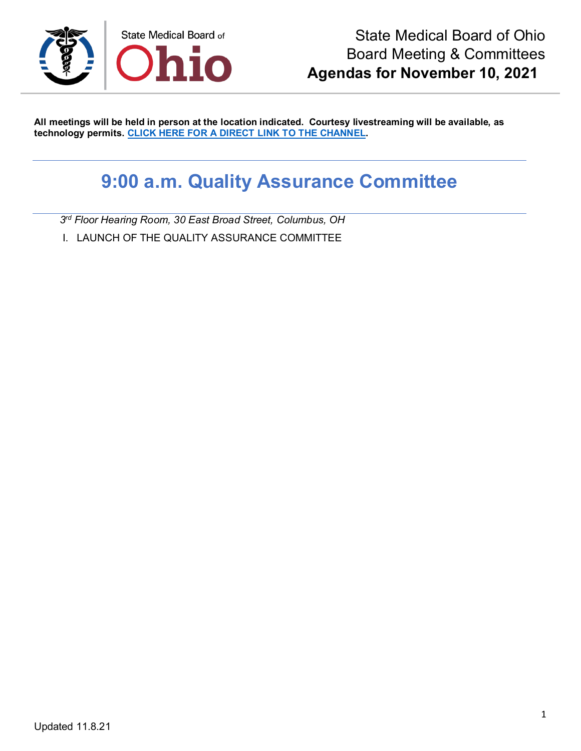

**All meetings will be held in person at the location indicated. Courtesy livestreaming will be available, as technology permits. [CLICK HERE FOR A DIRECT LINK TO THE CHANNEL.](https://www.youtube.com/channel/UCWBHBfwOyUtBZmBEZvtYPvA)**

## **9:00 a.m. Quality Assurance Committee**

*3rd Floor Hearing Room, 30 East Broad Street, Columbus, OH*

I. LAUNCH OF THE QUALITY ASSURANCE COMMITTEE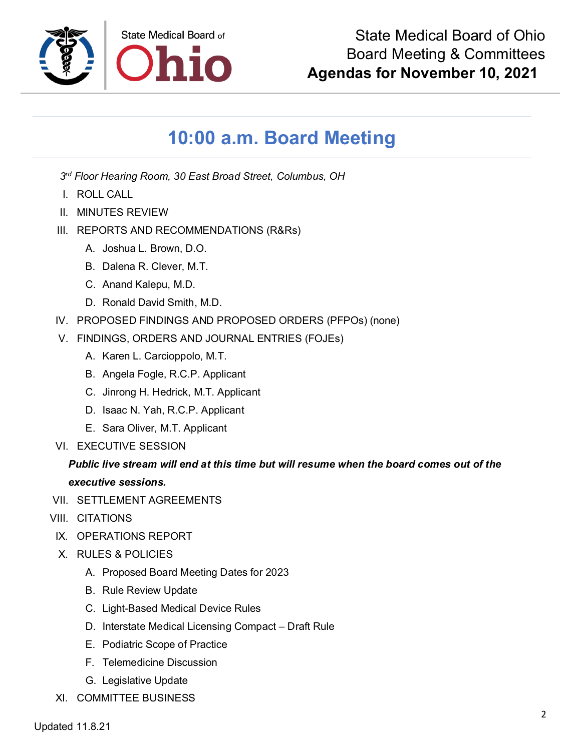

## **10:00 a.m. Board Meeting**

- *3rd Floor Hearing Room, 30 East Broad Street, Columbus, OH*
- I. ROLL CALL
- II. MINUTES REVIEW
- III. REPORTS AND RECOMMENDATIONS (R&Rs)
	- A. Joshua L. Brown, D.O.
	- B. Dalena R. Clever, M.T.
	- C. Anand Kalepu, M.D.
	- D. Ronald David Smith, M.D.
- IV. PROPOSED FINDINGS AND PROPOSED ORDERS (PFPOs) (none)
- V. FINDINGS, ORDERS AND JOURNAL ENTRIES (FOJEs)
	- A. Karen L. Carcioppolo, M.T.
	- B. Angela Fogle, R.C.P. Applicant
	- C. Jinrong H. Hedrick, M.T. Applicant
	- D. Isaac N. Yah, R.C.P. Applicant
	- E. Sara Oliver, M.T. Applicant
- VI. EXECUTIVE SESSION

## *Public live stream will end at this time but will resume when the board comes out of the executive sessions.*

- VII. SETTLEMENT AGREEMENTS
- VIII. CITATIONS
	- IX. OPERATIONS REPORT
	- X. RULES & POLICIES
		- A. Proposed Board Meeting Dates for 2023
		- B. Rule Review Update
		- C. Light-Based Medical Device Rules
		- D. Interstate Medical Licensing Compact Draft Rule
		- E. Podiatric Scope of Practice
		- F. Telemedicine Discussion
		- G. Legislative Update
- XI. COMMITTEE BUSINESS